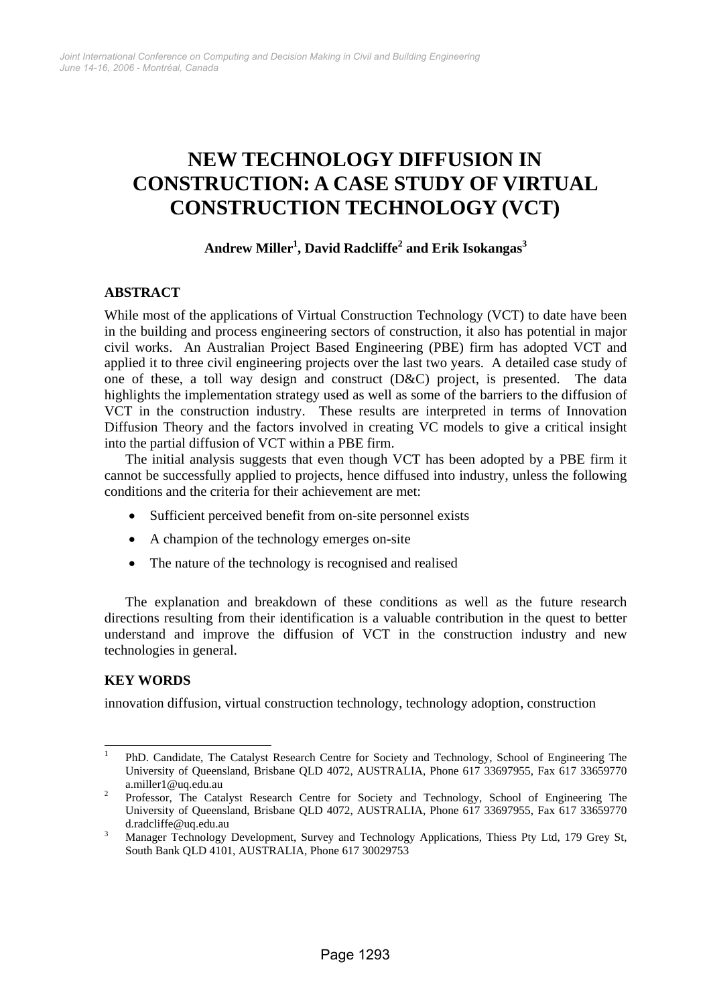# **NEW TECHNOLOGY DIFFUSION IN CONSTRUCTION: A CASE STUDY OF VIRTUAL CONSTRUCTION TECHNOLOGY (VCT)**

## $\mathbf{Andrew~Miller}^{1},$   $\mathbf{David~Radcliffe}^{2}$  and  $\mathbf{Erik~Isokangas}^{3}$

## **ABSTRACT**

While most of the applications of Virtual Construction Technology (VCT) to date have been in the building and process engineering sectors of construction, it also has potential in major civil works. An Australian Project Based Engineering (PBE) firm has adopted VCT and applied it to three civil engineering projects over the last two years. A detailed case study of one of these, a toll way design and construct (D&C) project, is presented. The data highlights the implementation strategy used as well as some of the barriers to the diffusion of VCT in the construction industry. These results are interpreted in terms of Innovation Diffusion Theory and the factors involved in creating VC models to give a critical insight into the partial diffusion of VCT within a PBE firm.

The initial analysis suggests that even though VCT has been adopted by a PBE firm it cannot be successfully applied to projects, hence diffused into industry, unless the following conditions and the criteria for their achievement are met:

- Sufficient perceived benefit from on-site personnel exists
- A champion of the technology emerges on-site
- The nature of the technology is recognised and realised

The explanation and breakdown of these conditions as well as the future research directions resulting from their identification is a valuable contribution in the quest to better understand and improve the diffusion of VCT in the construction industry and new technologies in general.

## **KEY WORDS**

innovation diffusion, virtual construction technology, technology adoption, construction

 $\frac{1}{1}$  PhD. Candidate, The Catalyst Research Centre for Society and Technology, School of Engineering The University of Queensland, Brisbane QLD 4072, AUSTRALIA, Phone 617 33697955, Fax 617 33659770

a.miller1@uq.edu.au <br><sup>2</sup> Professor, The Catalyst Research Centre for Society and Technology, School of Engineering The University of Queensland, Brisbane QLD 4072, AUSTRALIA, Phone 617 33697955, Fax 617 33659770 d.radcliffe@uq.edu.au

Manager Technology Development, Survey and Technology Applications, Thiess Pty Ltd, 179 Grey St, South Bank QLD 4101, AUSTRALIA, Phone 617 30029753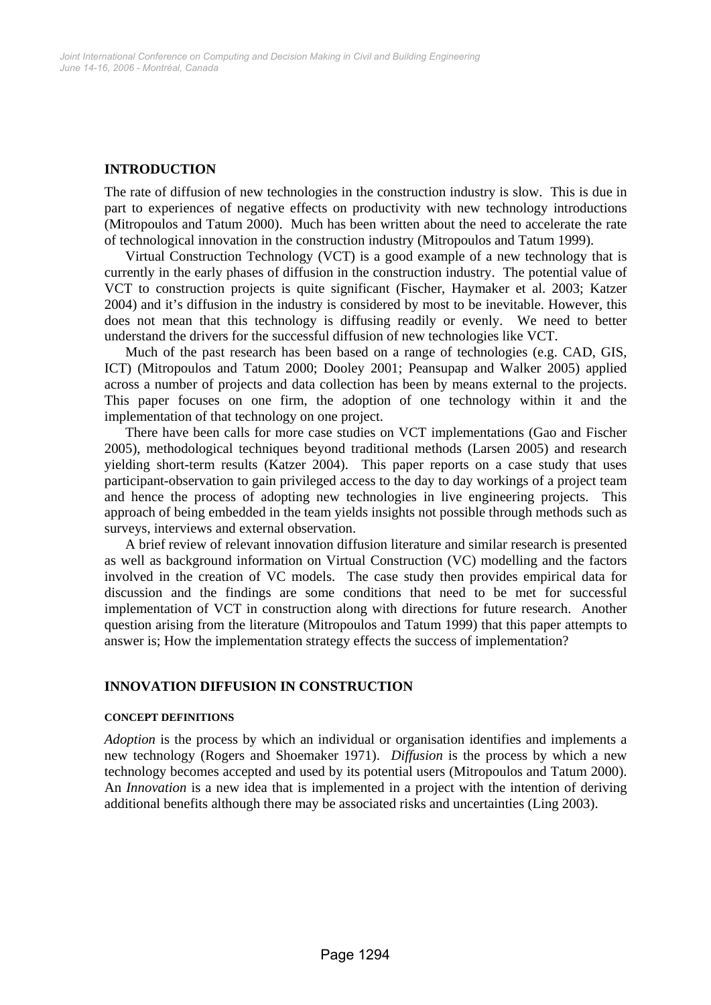## **INTRODUCTION**

The rate of diffusion of new technologies in the construction industry is slow. This is due in part to experiences of negative effects on productivity with new technology introductions (Mitropoulos and Tatum 2000). Much has been written about the need to accelerate the rate of technological innovation in the construction industry (Mitropoulos and Tatum 1999).

Virtual Construction Technology (VCT) is a good example of a new technology that is currently in the early phases of diffusion in the construction industry. The potential value of VCT to construction projects is quite significant (Fischer, Haymaker et al. 2003; Katzer 2004) and it's diffusion in the industry is considered by most to be inevitable. However, this does not mean that this technology is diffusing readily or evenly. We need to better understand the drivers for the successful diffusion of new technologies like VCT.

Much of the past research has been based on a range of technologies (e.g. CAD, GIS, ICT) (Mitropoulos and Tatum 2000; Dooley 2001; Peansupap and Walker 2005) applied across a number of projects and data collection has been by means external to the projects. This paper focuses on one firm, the adoption of one technology within it and the implementation of that technology on one project.

There have been calls for more case studies on VCT implementations (Gao and Fischer 2005), methodological techniques beyond traditional methods (Larsen 2005) and research yielding short-term results (Katzer 2004). This paper reports on a case study that uses participant-observation to gain privileged access to the day to day workings of a project team and hence the process of adopting new technologies in live engineering projects. This approach of being embedded in the team yields insights not possible through methods such as surveys, interviews and external observation.

A brief review of relevant innovation diffusion literature and similar research is presented as well as background information on Virtual Construction (VC) modelling and the factors involved in the creation of VC models. The case study then provides empirical data for discussion and the findings are some conditions that need to be met for successful implementation of VCT in construction along with directions for future research. Another question arising from the literature (Mitropoulos and Tatum 1999) that this paper attempts to answer is; How the implementation strategy effects the success of implementation?

## **INNOVATION DIFFUSION IN CONSTRUCTION**

#### **CONCEPT DEFINITIONS**

*Adoption* is the process by which an individual or organisation identifies and implements a new technology (Rogers and Shoemaker 1971). *Diffusion* is the process by which a new technology becomes accepted and used by its potential users (Mitropoulos and Tatum 2000). An *Innovation* is a new idea that is implemented in a project with the intention of deriving additional benefits although there may be associated risks and uncertainties (Ling 2003).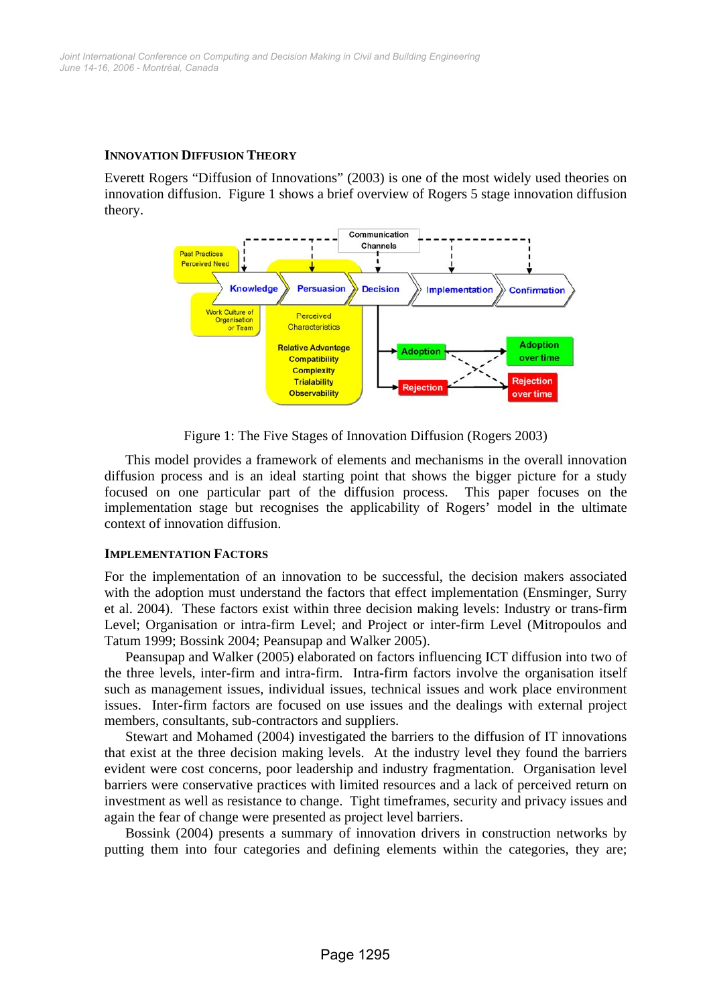## **INNOVATION DIFFUSION THEORY**

Everett Rogers "Diffusion of Innovations" (2003) is one of the most widely used theories on innovation diffusion. Figure 1 shows a brief overview of Rogers 5 stage innovation diffusion theory.



Figure 1: The Five Stages of Innovation Diffusion (Rogers 2003)

This model provides a framework of elements and mechanisms in the overall innovation diffusion process and is an ideal starting point that shows the bigger picture for a study focused on one particular part of the diffusion process. This paper focuses on the implementation stage but recognises the applicability of Rogers' model in the ultimate context of innovation diffusion.

#### **IMPLEMENTATION FACTORS**

For the implementation of an innovation to be successful, the decision makers associated with the adoption must understand the factors that effect implementation (Ensminger, Surry et al. 2004). These factors exist within three decision making levels: Industry or trans-firm Level; Organisation or intra-firm Level; and Project or inter-firm Level (Mitropoulos and Tatum 1999; Bossink 2004; Peansupap and Walker 2005).

Peansupap and Walker (2005) elaborated on factors influencing ICT diffusion into two of the three levels, inter-firm and intra-firm. Intra-firm factors involve the organisation itself such as management issues, individual issues, technical issues and work place environment issues. Inter-firm factors are focused on use issues and the dealings with external project members, consultants, sub-contractors and suppliers.

Stewart and Mohamed (2004) investigated the barriers to the diffusion of IT innovations that exist at the three decision making levels. At the industry level they found the barriers evident were cost concerns, poor leadership and industry fragmentation. Organisation level barriers were conservative practices with limited resources and a lack of perceived return on investment as well as resistance to change. Tight timeframes, security and privacy issues and again the fear of change were presented as project level barriers.

Bossink (2004) presents a summary of innovation drivers in construction networks by putting them into four categories and defining elements within the categories, they are;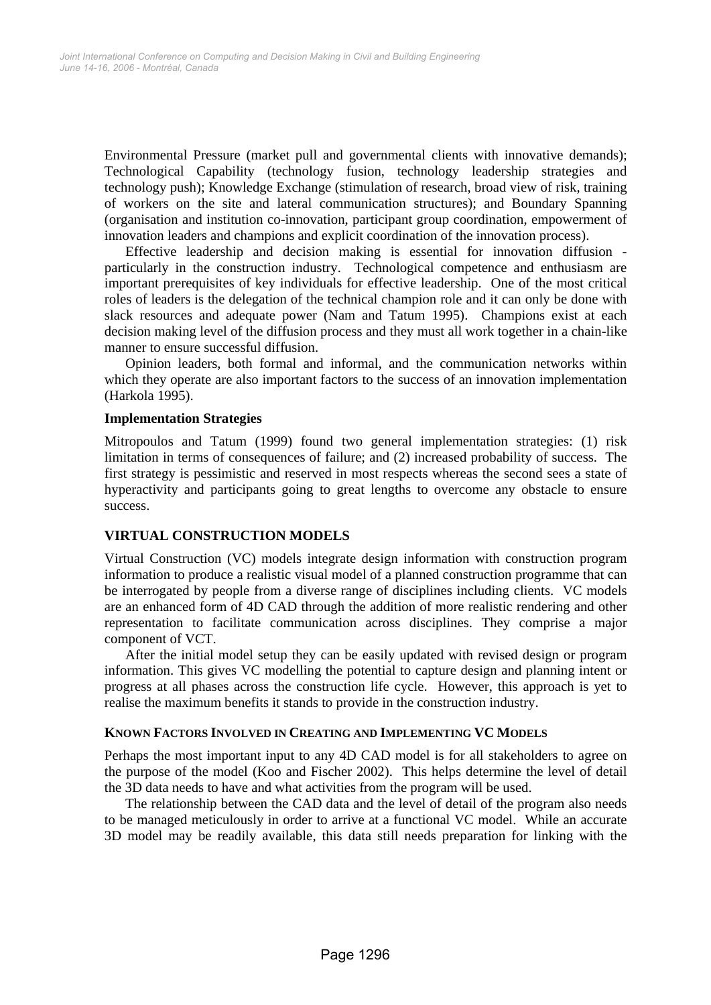Environmental Pressure (market pull and governmental clients with innovative demands); Technological Capability (technology fusion, technology leadership strategies and technology push); Knowledge Exchange (stimulation of research, broad view of risk, training of workers on the site and lateral communication structures); and Boundary Spanning (organisation and institution co-innovation, participant group coordination, empowerment of innovation leaders and champions and explicit coordination of the innovation process).

Effective leadership and decision making is essential for innovation diffusion particularly in the construction industry. Technological competence and enthusiasm are important prerequisites of key individuals for effective leadership. One of the most critical roles of leaders is the delegation of the technical champion role and it can only be done with slack resources and adequate power (Nam and Tatum 1995). Champions exist at each decision making level of the diffusion process and they must all work together in a chain-like manner to ensure successful diffusion.

Opinion leaders, both formal and informal, and the communication networks within which they operate are also important factors to the success of an innovation implementation (Harkola 1995).

#### **Implementation Strategies**

Mitropoulos and Tatum (1999) found two general implementation strategies: (1) risk limitation in terms of consequences of failure; and (2) increased probability of success. The first strategy is pessimistic and reserved in most respects whereas the second sees a state of hyperactivity and participants going to great lengths to overcome any obstacle to ensure success.

## **VIRTUAL CONSTRUCTION MODELS**

Virtual Construction (VC) models integrate design information with construction program information to produce a realistic visual model of a planned construction programme that can be interrogated by people from a diverse range of disciplines including clients. VC models are an enhanced form of 4D CAD through the addition of more realistic rendering and other representation to facilitate communication across disciplines. They comprise a major component of VCT.

After the initial model setup they can be easily updated with revised design or program information. This gives VC modelling the potential to capture design and planning intent or progress at all phases across the construction life cycle. However, this approach is yet to realise the maximum benefits it stands to provide in the construction industry.

## **KNOWN FACTORS INVOLVED IN CREATING AND IMPLEMENTING VC MODELS**

Perhaps the most important input to any 4D CAD model is for all stakeholders to agree on the purpose of the model (Koo and Fischer 2002). This helps determine the level of detail the 3D data needs to have and what activities from the program will be used.

The relationship between the CAD data and the level of detail of the program also needs to be managed meticulously in order to arrive at a functional VC model. While an accurate 3D model may be readily available, this data still needs preparation for linking with the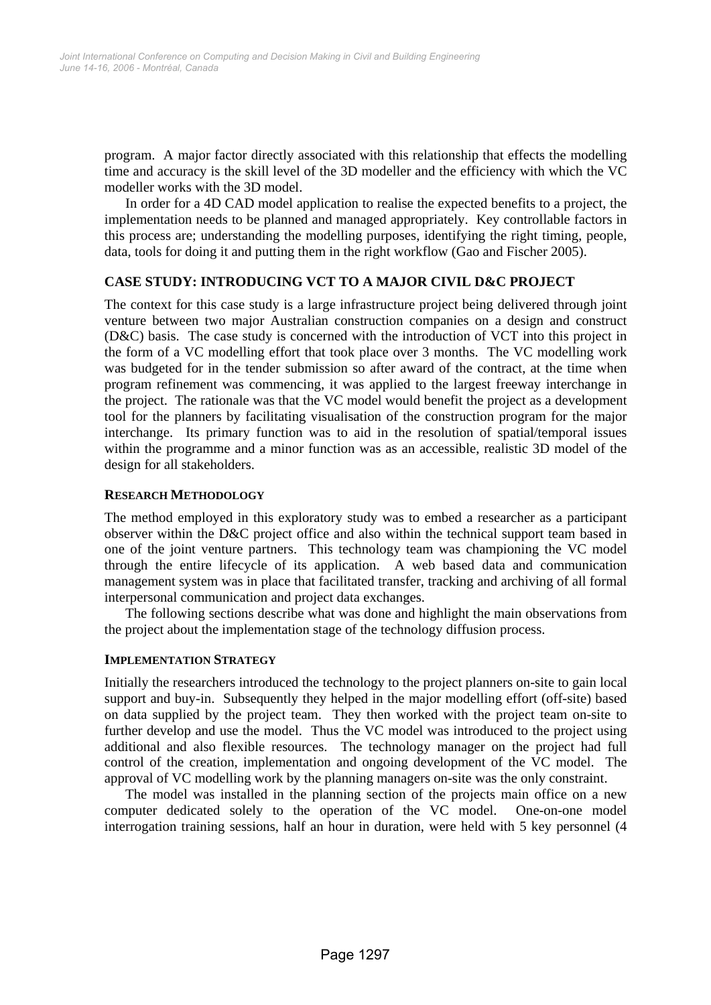program. A major factor directly associated with this relationship that effects the modelling time and accuracy is the skill level of the 3D modeller and the efficiency with which the VC modeller works with the 3D model.

In order for a 4D CAD model application to realise the expected benefits to a project, the implementation needs to be planned and managed appropriately. Key controllable factors in this process are; understanding the modelling purposes, identifying the right timing, people, data, tools for doing it and putting them in the right workflow (Gao and Fischer 2005).

## **CASE STUDY: INTRODUCING VCT TO A MAJOR CIVIL D&C PROJECT**

The context for this case study is a large infrastructure project being delivered through joint venture between two major Australian construction companies on a design and construct (D&C) basis. The case study is concerned with the introduction of VCT into this project in the form of a VC modelling effort that took place over 3 months. The VC modelling work was budgeted for in the tender submission so after award of the contract, at the time when program refinement was commencing, it was applied to the largest freeway interchange in the project. The rationale was that the VC model would benefit the project as a development tool for the planners by facilitating visualisation of the construction program for the major interchange. Its primary function was to aid in the resolution of spatial/temporal issues within the programme and a minor function was as an accessible, realistic 3D model of the design for all stakeholders.

## **RESEARCH METHODOLOGY**

The method employed in this exploratory study was to embed a researcher as a participant observer within the D&C project office and also within the technical support team based in one of the joint venture partners. This technology team was championing the VC model through the entire lifecycle of its application. A web based data and communication management system was in place that facilitated transfer, tracking and archiving of all formal interpersonal communication and project data exchanges.

The following sections describe what was done and highlight the main observations from the project about the implementation stage of the technology diffusion process.

## **IMPLEMENTATION STRATEGY**

Initially the researchers introduced the technology to the project planners on-site to gain local support and buy-in. Subsequently they helped in the major modelling effort (off-site) based on data supplied by the project team. They then worked with the project team on-site to further develop and use the model. Thus the VC model was introduced to the project using additional and also flexible resources. The technology manager on the project had full control of the creation, implementation and ongoing development of the VC model. The approval of VC modelling work by the planning managers on-site was the only constraint.

The model was installed in the planning section of the projects main office on a new computer dedicated solely to the operation of the VC model. One-on-one model interrogation training sessions, half an hour in duration, were held with 5 key personnel (4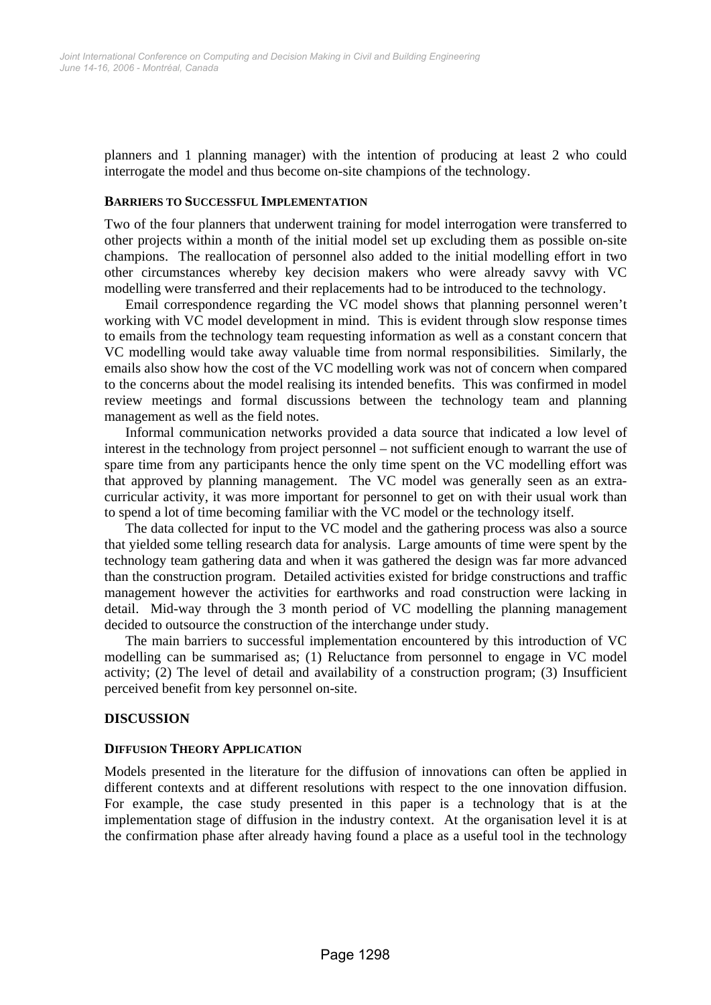planners and 1 planning manager) with the intention of producing at least 2 who could interrogate the model and thus become on-site champions of the technology.

#### **BARRIERS TO SUCCESSFUL IMPLEMENTATION**

Two of the four planners that underwent training for model interrogation were transferred to other projects within a month of the initial model set up excluding them as possible on-site champions. The reallocation of personnel also added to the initial modelling effort in two other circumstances whereby key decision makers who were already savvy with VC modelling were transferred and their replacements had to be introduced to the technology.

Email correspondence regarding the VC model shows that planning personnel weren't working with VC model development in mind. This is evident through slow response times to emails from the technology team requesting information as well as a constant concern that VC modelling would take away valuable time from normal responsibilities. Similarly, the emails also show how the cost of the VC modelling work was not of concern when compared to the concerns about the model realising its intended benefits. This was confirmed in model review meetings and formal discussions between the technology team and planning management as well as the field notes.

Informal communication networks provided a data source that indicated a low level of interest in the technology from project personnel – not sufficient enough to warrant the use of spare time from any participants hence the only time spent on the VC modelling effort was that approved by planning management. The VC model was generally seen as an extracurricular activity, it was more important for personnel to get on with their usual work than to spend a lot of time becoming familiar with the VC model or the technology itself.

The data collected for input to the VC model and the gathering process was also a source that yielded some telling research data for analysis. Large amounts of time were spent by the technology team gathering data and when it was gathered the design was far more advanced than the construction program. Detailed activities existed for bridge constructions and traffic management however the activities for earthworks and road construction were lacking in detail. Mid-way through the 3 month period of VC modelling the planning management decided to outsource the construction of the interchange under study.

The main barriers to successful implementation encountered by this introduction of VC modelling can be summarised as; (1) Reluctance from personnel to engage in VC model activity; (2) The level of detail and availability of a construction program; (3) Insufficient perceived benefit from key personnel on-site.

#### **DISCUSSION**

#### **DIFFUSION THEORY APPLICATION**

Models presented in the literature for the diffusion of innovations can often be applied in different contexts and at different resolutions with respect to the one innovation diffusion. For example, the case study presented in this paper is a technology that is at the implementation stage of diffusion in the industry context. At the organisation level it is at the confirmation phase after already having found a place as a useful tool in the technology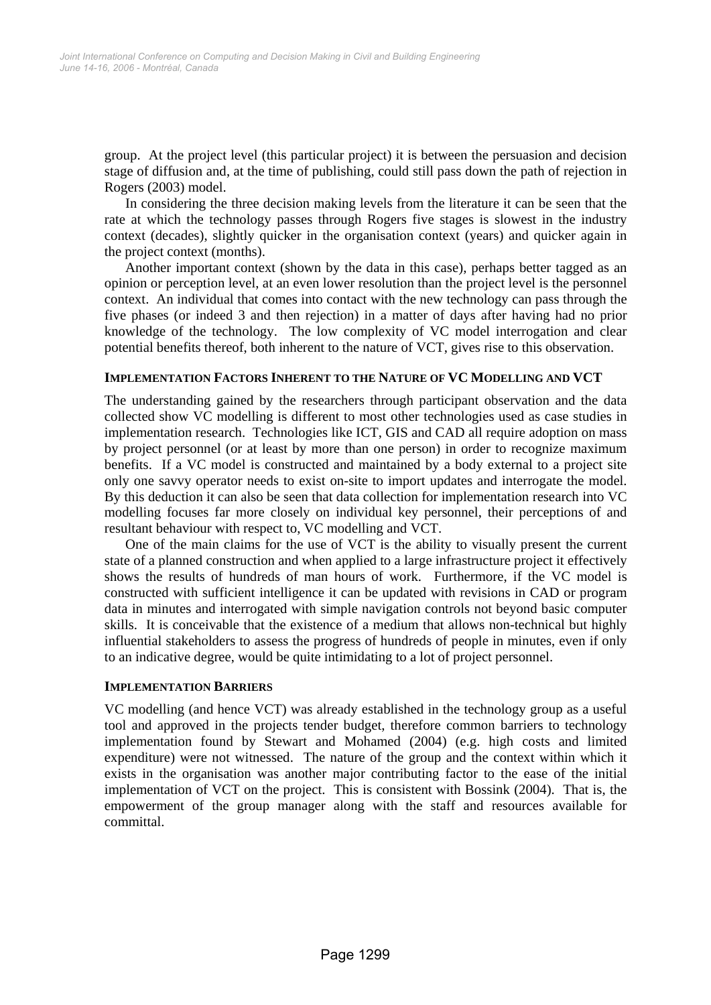group. At the project level (this particular project) it is between the persuasion and decision stage of diffusion and, at the time of publishing, could still pass down the path of rejection in Rogers (2003) model.

In considering the three decision making levels from the literature it can be seen that the rate at which the technology passes through Rogers five stages is slowest in the industry context (decades), slightly quicker in the organisation context (years) and quicker again in the project context (months).

Another important context (shown by the data in this case), perhaps better tagged as an opinion or perception level, at an even lower resolution than the project level is the personnel context. An individual that comes into contact with the new technology can pass through the five phases (or indeed 3 and then rejection) in a matter of days after having had no prior knowledge of the technology. The low complexity of VC model interrogation and clear potential benefits thereof, both inherent to the nature of VCT, gives rise to this observation.

#### **IMPLEMENTATION FACTORS INHERENT TO THE NATURE OF VC MODELLING AND VCT**

The understanding gained by the researchers through participant observation and the data collected show VC modelling is different to most other technologies used as case studies in implementation research. Technologies like ICT, GIS and CAD all require adoption on mass by project personnel (or at least by more than one person) in order to recognize maximum benefits. If a VC model is constructed and maintained by a body external to a project site only one savvy operator needs to exist on-site to import updates and interrogate the model. By this deduction it can also be seen that data collection for implementation research into VC modelling focuses far more closely on individual key personnel, their perceptions of and resultant behaviour with respect to, VC modelling and VCT.

One of the main claims for the use of VCT is the ability to visually present the current state of a planned construction and when applied to a large infrastructure project it effectively shows the results of hundreds of man hours of work. Furthermore, if the VC model is constructed with sufficient intelligence it can be updated with revisions in CAD or program data in minutes and interrogated with simple navigation controls not beyond basic computer skills. It is conceivable that the existence of a medium that allows non-technical but highly influential stakeholders to assess the progress of hundreds of people in minutes, even if only to an indicative degree, would be quite intimidating to a lot of project personnel.

#### **IMPLEMENTATION BARRIERS**

VC modelling (and hence VCT) was already established in the technology group as a useful tool and approved in the projects tender budget, therefore common barriers to technology implementation found by Stewart and Mohamed (2004) (e.g. high costs and limited expenditure) were not witnessed. The nature of the group and the context within which it exists in the organisation was another major contributing factor to the ease of the initial implementation of VCT on the project. This is consistent with Bossink (2004). That is, the empowerment of the group manager along with the staff and resources available for committal.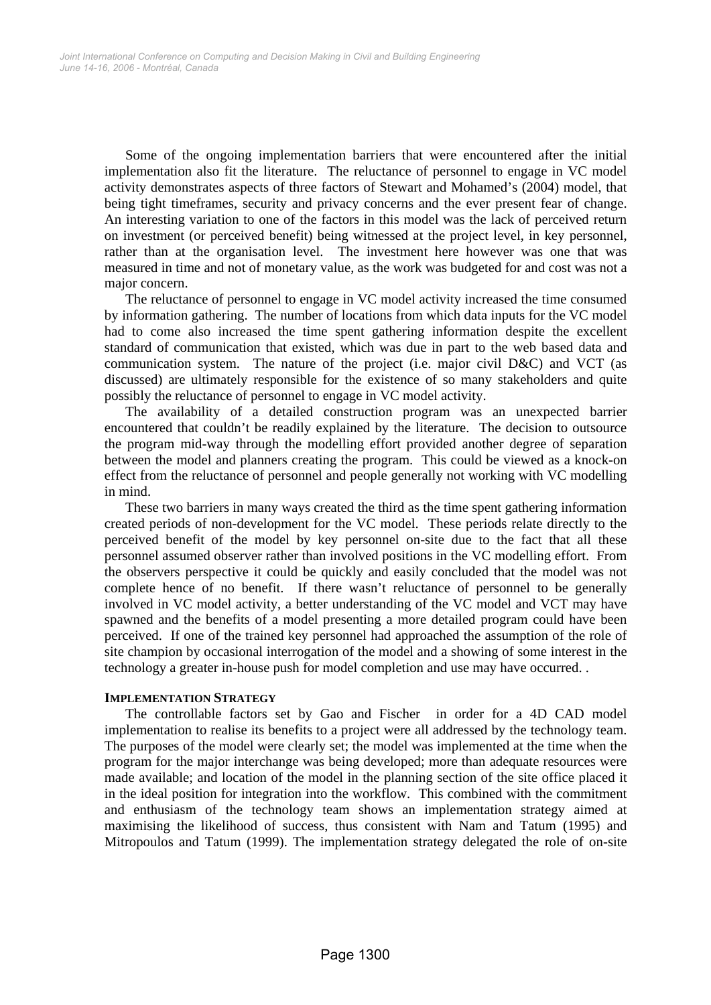Some of the ongoing implementation barriers that were encountered after the initial implementation also fit the literature. The reluctance of personnel to engage in VC model activity demonstrates aspects of three factors of Stewart and Mohamed's (2004) model, that being tight timeframes, security and privacy concerns and the ever present fear of change. An interesting variation to one of the factors in this model was the lack of perceived return on investment (or perceived benefit) being witnessed at the project level, in key personnel, rather than at the organisation level. The investment here however was one that was measured in time and not of monetary value, as the work was budgeted for and cost was not a major concern.

The reluctance of personnel to engage in VC model activity increased the time consumed by information gathering. The number of locations from which data inputs for the VC model had to come also increased the time spent gathering information despite the excellent standard of communication that existed, which was due in part to the web based data and communication system. The nature of the project (i.e. major civil D&C) and VCT (as discussed) are ultimately responsible for the existence of so many stakeholders and quite possibly the reluctance of personnel to engage in VC model activity.

The availability of a detailed construction program was an unexpected barrier encountered that couldn't be readily explained by the literature. The decision to outsource the program mid-way through the modelling effort provided another degree of separation between the model and planners creating the program. This could be viewed as a knock-on effect from the reluctance of personnel and people generally not working with VC modelling in mind.

These two barriers in many ways created the third as the time spent gathering information created periods of non-development for the VC model. These periods relate directly to the perceived benefit of the model by key personnel on-site due to the fact that all these personnel assumed observer rather than involved positions in the VC modelling effort. From the observers perspective it could be quickly and easily concluded that the model was not complete hence of no benefit. If there wasn't reluctance of personnel to be generally involved in VC model activity, a better understanding of the VC model and VCT may have spawned and the benefits of a model presenting a more detailed program could have been perceived. If one of the trained key personnel had approached the assumption of the role of site champion by occasional interrogation of the model and a showing of some interest in the technology a greater in-house push for model completion and use may have occurred. .

#### **IMPLEMENTATION STRATEGY**

The controllable factors set by Gao and Fischer in order for a 4D CAD model implementation to realise its benefits to a project were all addressed by the technology team. The purposes of the model were clearly set; the model was implemented at the time when the program for the major interchange was being developed; more than adequate resources were made available; and location of the model in the planning section of the site office placed it in the ideal position for integration into the workflow. This combined with the commitment and enthusiasm of the technology team shows an implementation strategy aimed at maximising the likelihood of success, thus consistent with Nam and Tatum (1995) and Mitropoulos and Tatum (1999). The implementation strategy delegated the role of on-site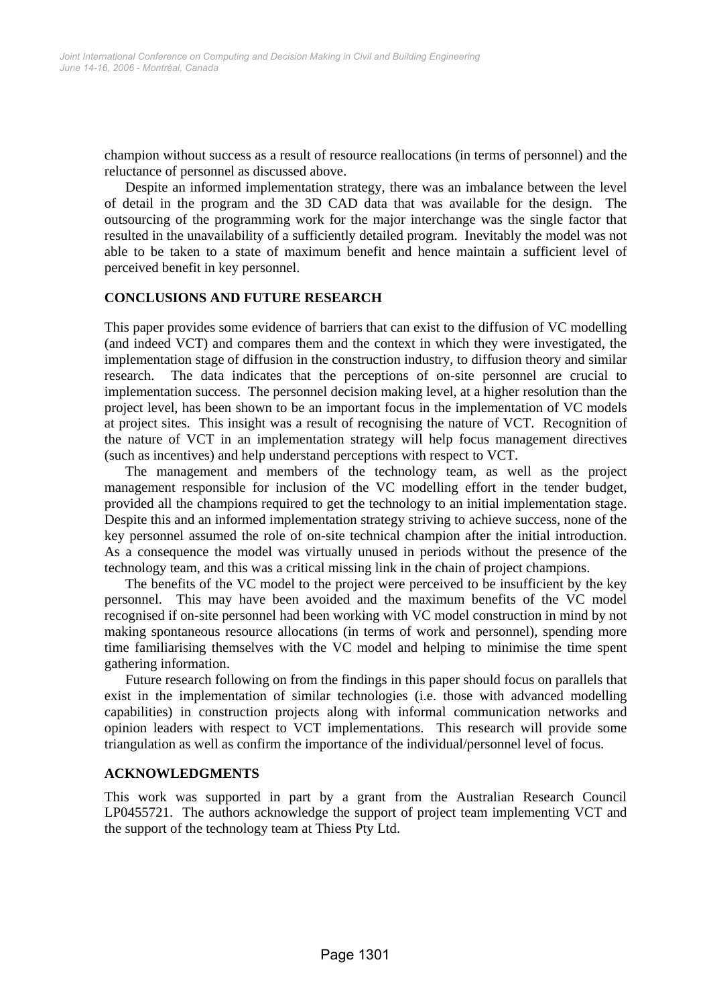champion without success as a result of resource reallocations (in terms of personnel) and the reluctance of personnel as discussed above.

Despite an informed implementation strategy, there was an imbalance between the level of detail in the program and the 3D CAD data that was available for the design. The outsourcing of the programming work for the major interchange was the single factor that resulted in the unavailability of a sufficiently detailed program. Inevitably the model was not able to be taken to a state of maximum benefit and hence maintain a sufficient level of perceived benefit in key personnel.

#### **CONCLUSIONS AND FUTURE RESEARCH**

This paper provides some evidence of barriers that can exist to the diffusion of VC modelling (and indeed VCT) and compares them and the context in which they were investigated, the implementation stage of diffusion in the construction industry, to diffusion theory and similar research. The data indicates that the perceptions of on-site personnel are crucial to implementation success. The personnel decision making level, at a higher resolution than the project level, has been shown to be an important focus in the implementation of VC models at project sites. This insight was a result of recognising the nature of VCT. Recognition of the nature of VCT in an implementation strategy will help focus management directives (such as incentives) and help understand perceptions with respect to VCT.

The management and members of the technology team, as well as the project management responsible for inclusion of the VC modelling effort in the tender budget, provided all the champions required to get the technology to an initial implementation stage. Despite this and an informed implementation strategy striving to achieve success, none of the key personnel assumed the role of on-site technical champion after the initial introduction. As a consequence the model was virtually unused in periods without the presence of the technology team, and this was a critical missing link in the chain of project champions.

The benefits of the VC model to the project were perceived to be insufficient by the key personnel. This may have been avoided and the maximum benefits of the VC model recognised if on-site personnel had been working with VC model construction in mind by not making spontaneous resource allocations (in terms of work and personnel), spending more time familiarising themselves with the VC model and helping to minimise the time spent gathering information.

Future research following on from the findings in this paper should focus on parallels that exist in the implementation of similar technologies (i.e. those with advanced modelling capabilities) in construction projects along with informal communication networks and opinion leaders with respect to VCT implementations. This research will provide some triangulation as well as confirm the importance of the individual/personnel level of focus.

#### **ACKNOWLEDGMENTS**

This work was supported in part by a grant from the Australian Research Council LP0455721. The authors acknowledge the support of project team implementing VCT and the support of the technology team at Thiess Pty Ltd.